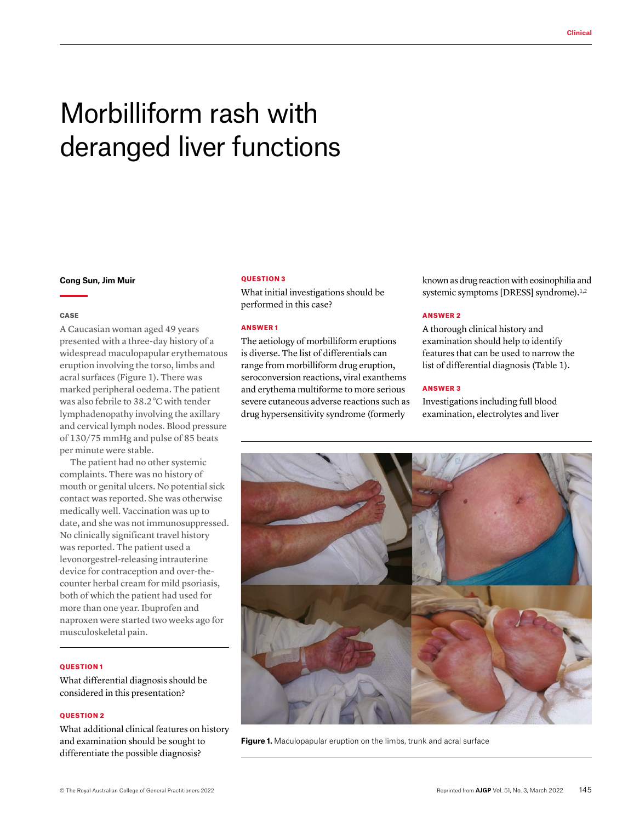# Morbilliform rash with deranged liver functions

#### **Cong Sun, Jim Muir**

#### **CASE**

A Caucasian woman aged 49 years presented with a three-day history of a widespread maculopapular erythematous eruption involving the torso, limbs and acral surfaces (Figure 1). There was marked peripheral oedema. The patient was also febrile to 38.2 °C with tender lymphadenopathy involving the axillary and cervical lymph nodes. Blood pressure of 130/75 mmHg and pulse of 85 beats per minute were stable.

The patient had no other systemic complaints. There was no history of mouth or genital ulcers. No potential sick contact was reported. She was otherwise medically well. Vaccination was up to date, and she was not immunosuppressed. No clinically significant travel history was reported. The patient used a levonorgestrel-releasing intrauterine device for contraception and over-thecounter herbal cream for mild psoriasis, both of which the patient had used for more than one year. Ibuprofen and naproxen were started two weeks ago for musculoskeletal pain.

### QUESTION 1

What differential diagnosis should be considered in this presentation?

## **OUESTION 2**

What additional clinical features on history and examination should be sought to differentiate the possible diagnosis?

## QUESTION 3

What initial investigations should be performed in this case?

# ANSWER 1

The aetiology of morbilliform eruptions is diverse. The list of differentials can range from morbilliform drug eruption, seroconversion reactions, viral exanthems and erythema multiforme to more serious severe cutaneous adverse reactions such as drug hypersensitivity syndrome (formerly

known as drug reaction with eosinophilia and systemic symptoms [DRESS] syndrome).<sup>1,2</sup>

## ANSWER 2

A thorough clinical history and examination should help to identify features that can be used to narrow the list of differential diagnosis (Table 1).

# ANSWER 3

Investigations including full blood examination, electrolytes and liver



**Figure 1.** Maculopapular eruption on the limbs, trunk and acral surface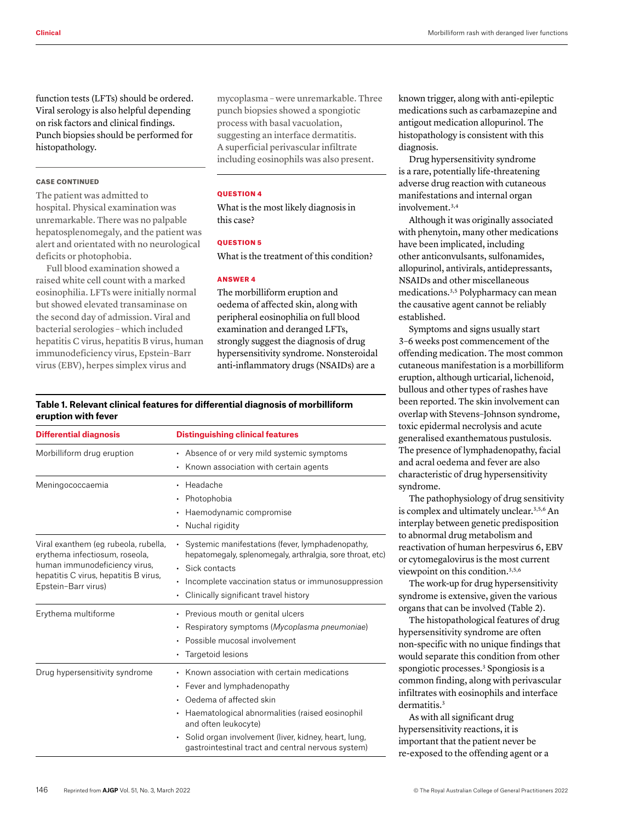function tests (LFTs) should be ordered. Viral serology is also helpful depending on risk factors and clinical findings. Punch biopsies should be performed for histopathology.

## CASE CONTINUED

The patient was admitted to hospital. Physical examination was unremarkable. There was no palpable hepatosplenomegaly, and the patient was alert and orientated with no neurological deficits or photophobia.

Full blood examination showed a raised white cell count with a marked eosinophilia. LFTs were initially normal but showed elevated transaminase on the second day of admission. Viral and bacterial serologies – which included hepatitis C virus, hepatitis B virus, human immunodeficiency virus, Epstein–Barr virus (EBV), herpes simplex virus and

mycoplasma – were unremarkable. Three punch biopsies showed a spongiotic process with basal vacuolation, suggesting an interface dermatitis. A superficial perivascular infiltrate including eosinophils was also present.

# QUESTION 4

What is the most likely diagnosis in this case?

## **OUESTION 5**

What is the treatment of this condition?

# ANSWER 4

The morbilliform eruption and oedema of affected skin, along with peripheral eosinophilia on full blood examination and deranged LFTs, strongly suggest the diagnosis of drug hypersensitivity syndrome. Nonsteroidal anti-inflammatory drugs (NSAIDs) are a

# **Table 1. Relevant clinical features for differential diagnosis of morbilliform eruption with fever**

| <b>Differential diagnosis</b>                                                                                                                                           | <b>Distinguishing clinical features</b>                                                                                                                                                                                                                                                                                            |
|-------------------------------------------------------------------------------------------------------------------------------------------------------------------------|------------------------------------------------------------------------------------------------------------------------------------------------------------------------------------------------------------------------------------------------------------------------------------------------------------------------------------|
| Morbilliform drug eruption                                                                                                                                              | • Absence of or very mild systemic symptoms<br>Known association with certain agents                                                                                                                                                                                                                                               |
| Meningococcaemia                                                                                                                                                        | Headache<br>Photophobia<br>$\bullet$<br>Haemodynamic compromise<br>Nuchal rigidity<br>$\bullet$                                                                                                                                                                                                                                    |
| Viral exanthem (eg rubeola, rubella,<br>erythema infectiosum, roseola,<br>human immunodeficiency virus,<br>hepatitis C virus, hepatitis B virus,<br>Epstein-Barr virus) | Systemic manifestations (fever, lymphadenopathy,<br>hepatomegaly, splenomegaly, arthralgia, sore throat, etc)<br>· Sick contacts<br>Incomplete vaccination status or immunosuppression<br>$\bullet$<br>Clinically significant travel history<br>٠                                                                                  |
| Erythema multiforme                                                                                                                                                     | Previous mouth or genital ulcers<br>$\bullet$<br>Respiratory symptoms (Mycoplasma pneumoniae)<br>Possible mucosal involvement<br>Targetoid lesions<br>٠                                                                                                                                                                            |
| Drug hypersensitivity syndrome                                                                                                                                          | Known association with certain medications<br>$\bullet$<br>Fever and lymphadenopathy<br>$\bullet$<br>Oedema of affected skin<br>$\bullet$<br>Haematological abnormalities (raised eosinophil<br>and often leukocyte)<br>Solid organ involvement (liver, kidney, heart, lung,<br>gastrointestinal tract and central nervous system) |

known trigger, along with anti-epileptic medications such as carbamazepine and antigout medication allopurinol. The histopathology is consistent with this diagnosis.

Drug hypersensitivity syndrome is a rare, potentially life-threatening adverse drug reaction with cutaneous manifestations and internal organ involvement.3,4

Although it was originally associated with phenytoin, many other medications have been implicated, including other anticonvulsants, sulfonamides, allopurinol, antivirals, antidepressants, NSAIDs and other miscellaneous medications.3,5 Polypharmacy can mean the causative agent cannot be reliably established.

Symptoms and signs usually start 3–6 weeks post commencement of the offending medication. The most common cutaneous manifestation is a morbilliform eruption, although urticarial, lichenoid, bullous and other types of rashes have been reported. The skin involvement can overlap with Stevens–Johnson syndrome, toxic epidermal necrolysis and acute generalised exanthematous pustulosis. The presence of lymphadenopathy, facial and acral oedema and fever are also characteristic of drug hypersensitivity syndrome.

The pathophysiology of drug sensitivity is complex and ultimately unclear.3,5,6 An interplay between genetic predisposition to abnormal drug metabolism and reactivation of human herpesvirus 6, EBV or cytomegalovirus is the most current viewpoint on this condition.3,5,6

The work-up for drug hypersensitivity syndrome is extensive, given the various organs that can be involved (Table 2).

The histopathological features of drug hypersensitivity syndrome are often non-specific with no unique findings that would separate this condition from other spongiotic processes.<sup>3</sup> Spongiosis is a common finding, along with perivascular infiltrates with eosinophils and interface dermatitis.<sup>3</sup>

As with all significant drug hypersensitivity reactions, it is important that the patient never be re-exposed to the offending agent or a